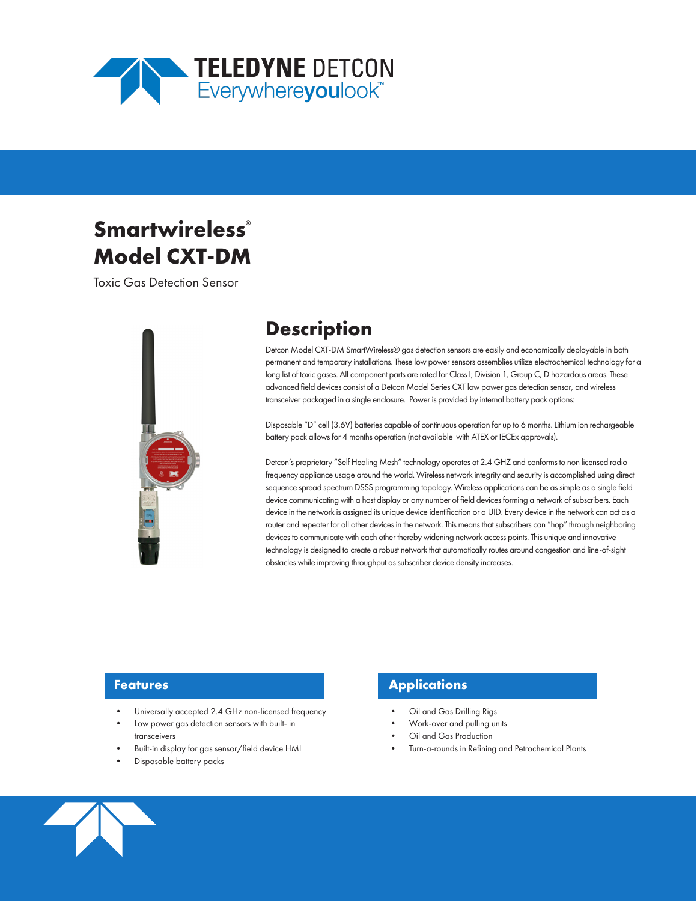

# Smartwireless<sup>®</sup> **Model CXT-DM**

Toxic Gas Detection Sensor



## **Description**

Detcon Model CXT-DM SmartWireless® gas detection sensors are easily and economically deployable in both permanent and temporary installations. These low power sensors assemblies utilize electrochemical technology for a long list of toxic gases. All component parts are rated for Class I; Division 1, Group C, D hazardous areas. These advanced field devices consist of a Detcon Model Series CXT low power gas detection sensor, and wireless transceiver packaged in a single enclosure. Power is provided by internal battery pack options:

Disposable "D" cell (3.6V) batteries capable of continuous operation for up to 6 months. Lithium ion rechargeable battery pack allows for 4 months operation (not available with ATEX or IECEx approvals).

Detcon's proprietary "Self Healing Mesh" technology operates at 2.4 GHZ and conforms to non licensed radio frequency appliance usage around the world. Wireless network integrity and security is accomplished using direct sequence spread spectrum DSSS programming topology. Wireless applications can be as simple as a single field device communicating with a host display or any number of field devices forming a network of subscribers. Each device in the network is assigned its unique device identification or a UID. Every device in the network can act as a router and repeater for all other devices in the network. This means that subscribers can "hop" through neighboring devices to communicate with each other thereby widening network access points. This unique and innovative technology is designed to create a robust network that automatically routes around congestion and line-of-sight obstacles while improving throughput as subscriber device density increases.

#### **Features**

- Universally accepted 2.4 GHz non-licensed frequency
- Low power gas detection sensors with built- in transceivers
- Built-in display for gas sensor/field device HMI
- Disposable battery packs

### **Applications**

- Oil and Gas Drilling Rigs
- Work-over and pulling units
- Oil and Gas Production
- Turn-a-rounds in Refining and Petrochemical Plants

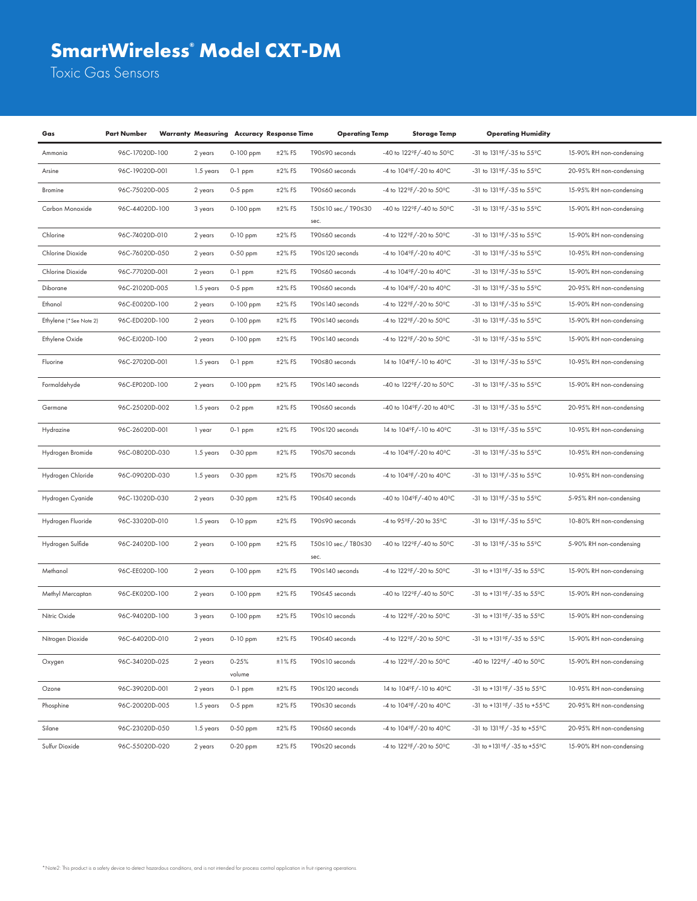## **SmartWireless® Model CXT-DM**

Toxic Gas Sensors

| Gas                    | <b>Part Number</b> |           |                     | <b>Warranty Measuring Accuracy Response Time</b> | <b>Operating Temp</b>       | <b>Storage Temp</b>                         | <b>Operating Humidity</b>             |                          |
|------------------------|--------------------|-----------|---------------------|--------------------------------------------------|-----------------------------|---------------------------------------------|---------------------------------------|--------------------------|
| Ammonia                | 96C-17020D-100     | 2 years   | 0-100 ppm           | $±2\%$ FS                                        | T90≤90 seconds              | -40 to 122°F/-40 to 50°C                    | -31 to 131°F/-35 to 55°C              | 15-90% RH non-condensing |
| Arsine                 | 96C-19020D-001     | 1.5 years | $0-1$ ppm           | $±2\%$ FS                                        | T90≤60 seconds              | -4 to 104°F/-20 to 40°C                     | -31 to 131°F/-35 to 55°C              | 20-95% RH non-condensing |
| Bromine                | 96C-75020D-005     | 2 years   | $0-5$ ppm           | $±2\%$ FS                                        | T90≤60 seconds              | -4 to 122°F/-20 to 50°C                     | -31 to 131°F/-35 to 55°C              | 15-95% RH non-condensing |
| Carbon Monoxide        | 96C-44020D-100     | 3 years   | 0-100 ppm           | $±2\%$ FS                                        | T50≤10 sec./ T90≤30<br>sec. | -40 to 122°F/-40 to 50°C                    | -31 to 131°F/-35 to 55°C              | 15-90% RH non-condensing |
| Chlorine               | 96C-74020D-010     | 2 years   | 0-10 ppm            | $±2\%$ FS                                        | T90≤60 seconds              | -4 to $122^{\circ}$ F/-20 to $50^{\circ}$ C | -31 to 131°F/-35 to 55°C              | 15-90% RH non-condensing |
| Chlorine Dioxide       | 96C-76020D-050     | 2 years   | $0-50$ ppm          | $±2\%$ FS                                        | T90≤120 seconds             | -4 to 104°F/-20 to 40°C                     | -31 to 131 °F/-35 to 55 °C            | 10-95% RH non-condensing |
| Chlorine Dioxide       | 96C-77020D-001     | 2 years   | $0-1$ ppm           | $±2\%$ FS                                        | T90≤60 seconds              | -4 to 104°F/-20 to 40°C                     | -31 to 131°F/-35 to 55°C              | 15-90% RH non-condensing |
| Diborane               | 96C-21020D-005     | 1.5 years | $0-5$ ppm           | $±2\%$ FS                                        | T90≤60 seconds              | -4 to 104°F/-20 to 40°C                     | -31 to 131°F/-35 to 55°C              | 20-95% RH non-condensing |
| Ethanol                | 96C-E0020D-100     | 2 years   | 0-100 ppm           | $±2\%$ FS                                        | T90≤140 seconds             | -4 to $122^{\circ}$ F/-20 to $50^{\circ}$ C | -31 to 131°F/-35 to 55°C              | 15-90% RH non-condensing |
| Ethylene (*See Note 2) | 96C-ED020D-100     | 2 years   | 0-100 ppm           | $±2\%$ FS                                        | T90≤140 seconds             | -4 to $122^{\circ}$ F/-20 to $50^{\circ}$ C | -31 to 131 °F/-35 to 55 °C            | 15-90% RH non-condensing |
| Ethylene Oxide         | 96C-EJ020D-100     | 2 years   | 0-100 ppm           | $±2\%$ FS                                        | T90≤140 seconds             | -4 to 122°F/-20 to 50°C                     | -31 to 131°F/-35 to 55°C              | 15-90% RH non-condensing |
| Fluorine               | 96C-27020D-001     | 1.5 years | $0-1$ ppm           | $±2\%$ FS                                        | T90≤80 seconds              | 14 to 104°F/-10 to 40°C                     | -31 to 131°F/-35 to 55°C              | 10-95% RH non-condensing |
| Formaldehyde           | 96C-EP020D-100     | 2 years   | 0-100 ppm           | $±2\%$ FS                                        | T90≤140 seconds             | -40 to 122°F/-20 to 50°C                    | -31 to 131°F/-35 to 55°C              | 15-90% RH non-condensing |
| Germane                | 96C-25020D-002     | 1.5 years | $0-2$ ppm           | $±2\%$ FS                                        | T90≤60 seconds              | -40 to 104°F/-20 to 40°C                    | -31 to 131°F/-35 to 55°C              | 20-95% RH non-condensing |
| Hydrazine              | 96C-26020D-001     | 1 year    | $0-1$ ppm           | $±2\%$ FS                                        | T90≤120 seconds             | 14 to 104°F/-10 to 40°C                     | -31 to 131ºF/-35 to 55°C              | 10-95% RH non-condensing |
| Hydrogen Bromide       | 96C-08020D-030     | 1.5 years | 0-30 ppm            | $±2\%$ FS                                        | T90≤70 seconds              | -4 to 104°F/-20 to 40°C                     | -31 to 131°F/-35 to 55°C              | 10-95% RH non-condensing |
| Hydrogen Chloride      | 96C-09020D-030     | 1.5 years | 0-30 ppm            | $±2\%$ FS                                        | T90≤70 seconds              | -4 to 104°F/-20 to 40°C                     | -31 to 131 °F/-35 to 55 °C            | 10-95% RH non-condensing |
| Hydrogen Cyanide       | 96C-13020D-030     | 2 years   | 0-30 ppm            | $±2\%$ FS                                        | T90≤40 seconds              | -40 to 104°F/-40 to 40°C                    | -31 to 131°F/-35 to 55°C              | 5-95% RH non-condensing  |
| Hydrogen Fluoride      | 96C-33020D-010     | 1.5 years | 0-10 ppm            | $±2\%$ FS                                        | T90≤90 seconds              | -4 to 95°F/-20 to 35°C                      | -31 to 131°F/-35 to 55°C              | 10-80% RH non-condensing |
| Hydrogen Sulfide       | 96C-24020D-100     | 2 years   | 0-100 ppm           | $±2\%$ FS                                        | T50≤10 sec./T80≤30<br>sec.  | -40 to 122°F/-40 to 50°C                    | -31 to 131 °F/-35 to 55 °C            | 5-90% RH non-condensing  |
| Methanol               | 96C-EE020D-100     | 2 years   | 0-100 ppm           | $±2\%$ FS                                        | T90≤140 seconds             | -4 to 122°F/-20 to 50°C                     | -31 to +131°F/-35 to 55°C             | 15-90% RH non-condensing |
| Methyl Mercaptan       | 96C-EK020D-100     | 2 years   | 0-100 ppm           | $±2\%$ FS                                        | T90≤45 seconds              | -40 to 122°F/-40 to 50°C                    | -31 to +131°F/-35 to 55°C             | 15-90% RH non-condensing |
| Nitric Oxide           | 96C-94020D-100     | 3 years   | 0-100 ppm           | $±2\%$ FS                                        | T90≤10 seconds              | -4 to 122°F/-20 to 50°C                     | -31 to +131°F/-35 to 55°C             | 15-90% RH non-condensing |
| Nitrogen Dioxide       | 96C-64020D-010     | 2 years   | $0-10$ ppm          | $±2\%$ FS                                        | T90≤40 seconds              | -4 to 122°F/-20 to 50°C                     | -31 to +131°F/-35 to 55°C             | 15-90% RH non-condensing |
| Oxygen                 | 96C-34020D-025     | 2 years   | $0 - 25%$<br>volume | $±1\%$ FS                                        | T90≤10 seconds              | -4 to 122°F/-20 to 50°C                     | -40 to 122°F/ -40 to 50°C             | 15-90% RH non-condensing |
| Ozone                  | 96C-39020D-001     | 2 years   | $0-1$ ppm           | $±2\%$ FS                                        | T90≤120 seconds             | 14 to 104°F/-10 to 40°C                     | -31 to +131°F/ -35 to 55°C            | 10-95% RH non-condensing |
| Phosphine              | 96C-20020D-005     | 1.5 years | $0-5$ ppm           | $±2\%$ FS                                        | T90≤30 seconds              | -4 to $104^{\circ}$ F/-20 to $40^{\circ}$ C | $-31$ to $+131$ °F/ $-35$ to $+55$ °C | 20-95% RH non-condensing |
| Silane                 | 96C-23020D-050     | 1.5 years | 0-50 ppm            | $±2\%$ FS                                        | T90≤60 seconds              | -4 to $104^{\circ}$ F/-20 to $40^{\circ}$ C | -31 to 131°F/-35 to +55°C             | 20-95% RH non-condensing |
| Sulfur Dioxide         | 96C-55020D-020     | 2 years   | $0-20$ ppm          | $±2\%$ FS                                        | T90≤20 seconds              | -4 to 122°F/-20 to 50°C                     | -31 to +131 °F/ -35 to +55°C          | 15-90% RH non-condensing |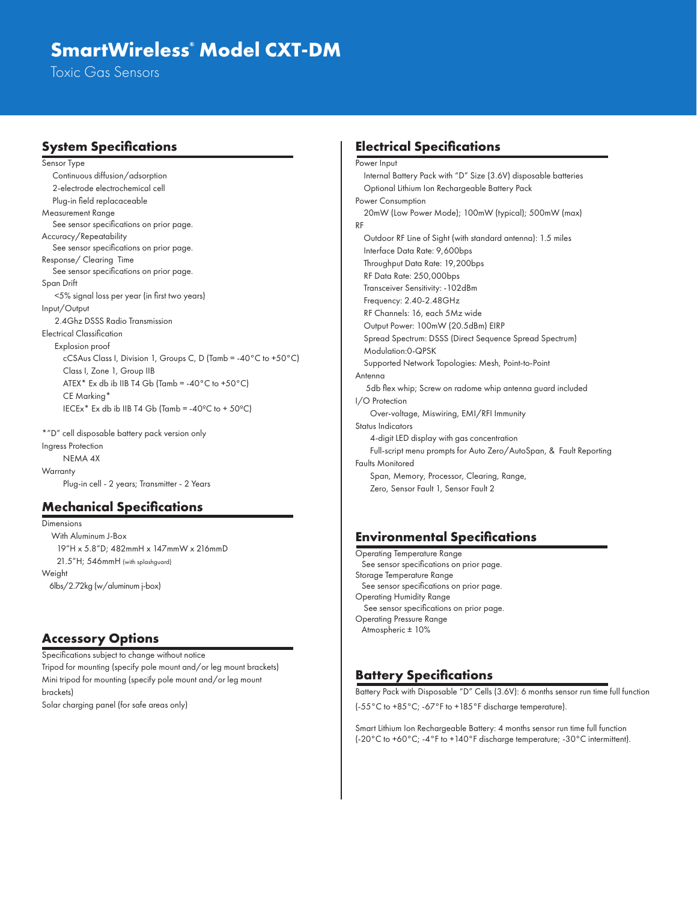### **SmartWireless® Model CXT-DM**

Toxic Gas Sensors

#### **System Specifications**

Sensor Type Continuous diffusion/adsorption 2-electrode electrochemical cell Plug-in field replacaceable Measurement Range See sensor specifications on prior page. Accuracy/Repeatability See sensor specifications on prior page. Response/ Clearing Time See sensor specifications on prior page. Span Drift <5% signal loss per year (in first two years) Input/Output 2.4Ghz DSSS Radio Transmission Electrical Classification Explosion proof cCSAus Class I, Division 1, Groups C, D (Tamb = -40°C to +50°C) Class I, Zone 1, Group IIB ATEX\* Ex db ib IIB T4 Gb (Tamb =  $-40^{\circ}$ C to  $+50^{\circ}$ C) CE Marking\* IECEx<sup>\*</sup> Ex db ib IIB T4 Gb (Tamb =  $-40^{\circ}$ C to + 50 $^{\circ}$ C)

\*"D" cell disposable battery pack version only Ingress Protection NEMA 4X **Warranty** Plug-in cell - 2 years; Transmitter - 2 Years

#### **Mechanical Specifications**

Dimensions With Aluminum J-Box 19"H x 5.8"D; 482mmH x 147mmW x 216mmD 21.5"H; 546mmH (with splashguard) **Weight** 6lbs/2.72kg (w/aluminum j-box)

#### **Accessory Options**

Specifications subject to change without notice Tripod for mounting (specify pole mount and/or leg mount brackets) Mini tripod for mounting (specify pole mount and/or leg mount brackets) Solar charging panel (for safe areas only)

#### **Electrical Specifications**

Power Input Internal Battery Pack with "D" Size (3.6V) disposable batteries Optional Lithium Ion Rechargeable Battery Pack Power Consumption 20mW (Low Power Mode); 100mW (typical); 500mW (max) RF Outdoor RF Line of Sight (with standard antenna): 1.5 miles Interface Data Rate: 9,600bps Throughput Data Rate: 19,200bps RF Data Rate: 250,000bps Transceiver Sensitivity: -102dBm Frequency: 2.40-2.48GHz RF Channels: 16, each 5Mz wide Output Power: 100mW (20.5dBm) EIRP Spread Spectrum: DSSS (Direct Sequence Spread Spectrum) Modulation:0-QPSK Supported Network Topologies: Mesh, Point-to-Point Antenna 5db flex whip; Screw on radome whip antenna guard included I/O Protection Over-voltage, Miswiring, EMI/RFI Immunity Status Indicators 4-digit LED display with gas concentration Full-script menu prompts for Auto Zero/AutoSpan, & Fault Reporting Faults Monitored Span, Memory, Processor, Clearing, Range, Zero, Sensor Fault 1, Sensor Fault 2

### **Environmental Specifications**

Operating Temperature Range See sensor specifications on prior page. Storage Temperature Range See sensor specifications on prior page. Operating Humidity Range See sensor specifications on prior page. Operating Pressure Range Atmospheric ± 10%

#### **Battery Specifications**

Battery Pack with Disposable "D" Cells (3.6V): 6 months sensor run time full function (-55°C to +85°C; -67°F to +185°F discharge temperature).

Smart Lithium Ion Rechargeable Battery: 4 months sensor run time full function (-20°C to +60°C; -4°F to +140°F discharge temperature; -30°C intermittent).